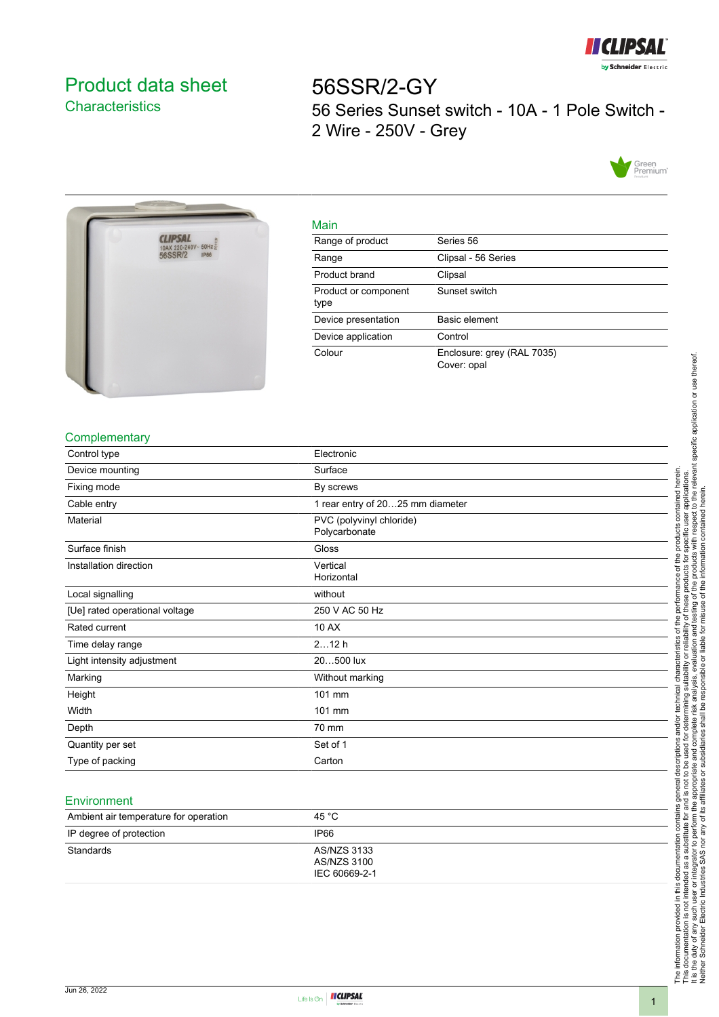

# <span id="page-0-0"></span>Product data sheet **Characteristics**

56SSR/2-GY 56 Series Sunset switch - 10A - 1 Pole Switch - 2 Wire - 250V - Grey





| Main                         |                                           |
|------------------------------|-------------------------------------------|
| Range of product             | Series 56                                 |
| Range                        | Clipsal - 56 Series                       |
| Product brand                | Clipsal                                   |
| Product or component<br>type | Sunset switch                             |
| Device presentation          | Basic element                             |
| Device application           | Control                                   |
| Colour                       | Enclosure: grey (RAL 7035)<br>Cover: opal |

#### **Complementary**

| Control type                   | Electronic                                |
|--------------------------------|-------------------------------------------|
| Device mounting                | Surface                                   |
| Fixing mode                    | By screws                                 |
| Cable entry                    | 1 rear entry of 2025 mm diameter          |
| Material                       | PVC (polyvinyl chloride)<br>Polycarbonate |
| Surface finish                 | Gloss                                     |
| Installation direction         | Vertical<br>Horizontal                    |
| Local signalling               | without                                   |
| [Ue] rated operational voltage | 250 V AC 50 Hz                            |
| Rated current                  | 10 AX                                     |
| Time delay range               | 212h                                      |
| Light intensity adjustment     | 20500 lux                                 |
| Marking                        | Without marking                           |
| Height                         | 101 mm                                    |
| Width                          | 101 mm                                    |
| Depth                          | 70 mm                                     |
| Quantity per set               | Set of 1                                  |
| Type of packing                | Carton                                    |

### Environment

| Ambient air temperature for operation | 45 °C                                       |
|---------------------------------------|---------------------------------------------|
| IP degree of protection               | IP66                                        |
| Standards                             | AS/NZS 3133<br>AS/NZS 3100<br>IEC 60669-2-1 |